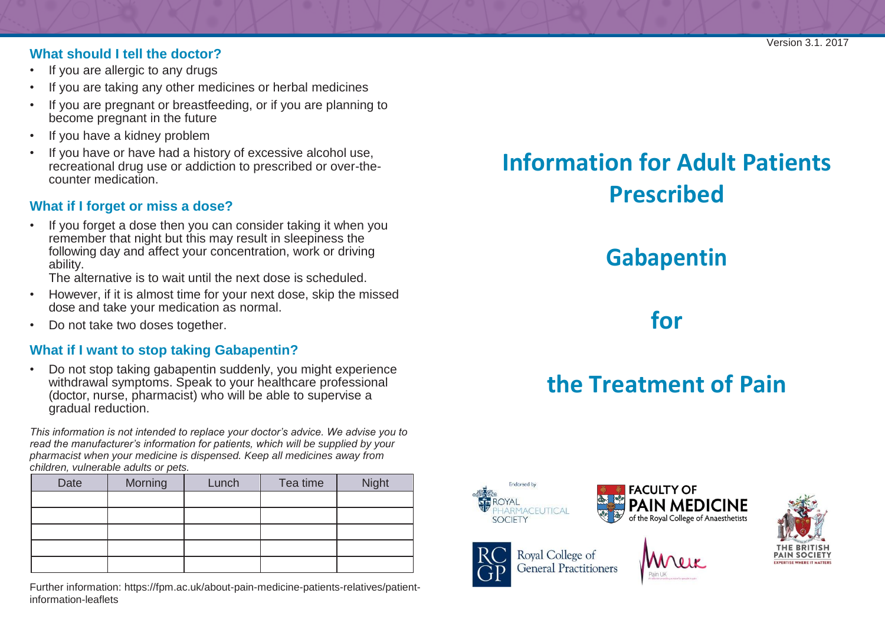#### **What should I tell the doctor?**

- If you are allergic to any drugs
- If you are taking any other medicines or herbal medicines
- If you are pregnant or breastfeeding, or if you are planning to become pregnant in the future
- If you have a kidney problem
- If you have or have had a history of excessive alcohol use, recreational drug use or addiction to prescribed or over-thecounter medication.

## **What if I forget or miss a dose?**

• If you forget a dose then you can consider taking it when you remember that night but this may result in sleepiness the following day and affect your concentration, work or driving ability.

The alternative is to wait until the next dose is scheduled.

- However, if it is almost time for your next dose, skip the missed dose and take your medication as normal.
- Do not take two doses together.

### **What if I want to stop taking Gabapentin?**

• Do not stop taking gabapentin suddenly, you might experience withdrawal symptoms. Speak to your healthcare professional (doctor, nurse, pharmacist) who will be able to supervise a gradual reduction.

*This information is not intended to replace your doctor's advice. We advise you to read the manufacturer's information for patients, which will be supplied by your pharmacist when your medicine is dispensed. Keep all medicines away from children, vulnerable adults or pets.*

| Date | Morning | Lunch | Tea time | <b>Night</b> |
|------|---------|-------|----------|--------------|
|      |         |       |          |              |
|      |         |       |          |              |
|      |         |       |          |              |
|      |         |       |          |              |
|      |         |       |          |              |

Further inform[ation: https://fpm.ac.uk/about-pain-medicine-patients-relatives/patient](https://fpm.ac.uk/about-pain-medicine-patients-relatives/patient-information-leaflets)[information-leaflets](https://fpm.ac.uk/about-pain-medicine-patients-relatives/patient-information-leaflets)

# **Information for Adult Patients Prescribed**

# **Gabapentin**

**for**

# **the Treatment of Pain**



Royal College of **General Practitioners**